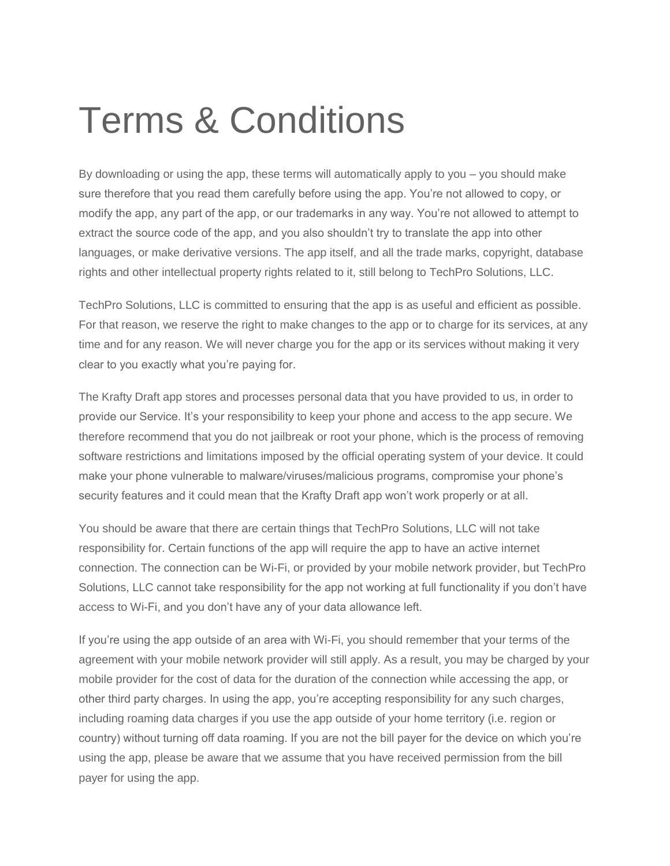## Terms & Conditions

By downloading or using the app, these terms will automatically apply to you – you should make sure therefore that you read them carefully before using the app. You're not allowed to copy, or modify the app, any part of the app, or our trademarks in any way. You're not allowed to attempt to extract the source code of the app, and you also shouldn't try to translate the app into other languages, or make derivative versions. The app itself, and all the trade marks, copyright, database rights and other intellectual property rights related to it, still belong to TechPro Solutions, LLC.

TechPro Solutions, LLC is committed to ensuring that the app is as useful and efficient as possible. For that reason, we reserve the right to make changes to the app or to charge for its services, at any time and for any reason. We will never charge you for the app or its services without making it very clear to you exactly what you're paying for.

The Krafty Draft app stores and processes personal data that you have provided to us, in order to provide our Service. It's your responsibility to keep your phone and access to the app secure. We therefore recommend that you do not jailbreak or root your phone, which is the process of removing software restrictions and limitations imposed by the official operating system of your device. It could make your phone vulnerable to malware/viruses/malicious programs, compromise your phone's security features and it could mean that the Krafty Draft app won't work properly or at all.

You should be aware that there are certain things that TechPro Solutions, LLC will not take responsibility for. Certain functions of the app will require the app to have an active internet connection. The connection can be Wi-Fi, or provided by your mobile network provider, but TechPro Solutions, LLC cannot take responsibility for the app not working at full functionality if you don't have access to Wi-Fi, and you don't have any of your data allowance left.

If you're using the app outside of an area with Wi-Fi, you should remember that your terms of the agreement with your mobile network provider will still apply. As a result, you may be charged by your mobile provider for the cost of data for the duration of the connection while accessing the app, or other third party charges. In using the app, you're accepting responsibility for any such charges, including roaming data charges if you use the app outside of your home territory (i.e. region or country) without turning off data roaming. If you are not the bill payer for the device on which you're using the app, please be aware that we assume that you have received permission from the bill payer for using the app.